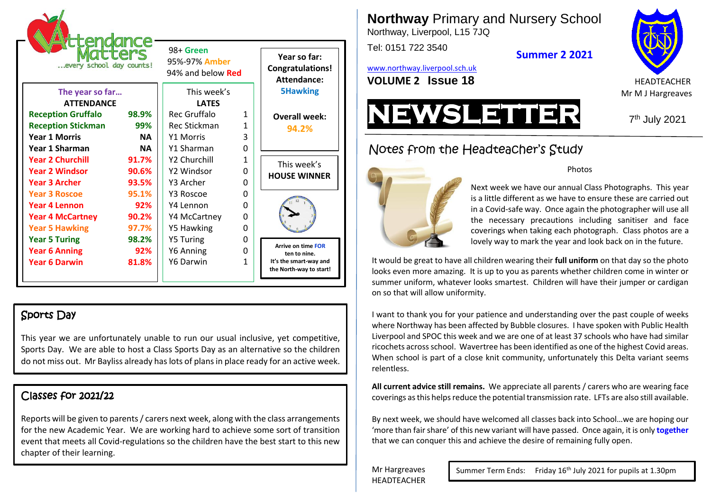| :enc<br>Ce<br>every school day counts! |           | 98+ Green<br>95%-97% Amber<br>94% and below <b>Red</b> |          | Year so far:<br><b>Congratulations!</b><br>Attendance: |
|----------------------------------------|-----------|--------------------------------------------------------|----------|--------------------------------------------------------|
| The year so far                        |           | This week's                                            |          | <b>5Hawking</b>                                        |
| <b>ATTENDANCE</b>                      |           | <b>LATES</b>                                           |          |                                                        |
| <b>Reception Gruffalo</b>              | 98.9%     | Rec Gruffalo                                           | 1        | <b>Overall week:</b>                                   |
| <b>Reception Stickman</b>              | 99%       | <b>Rec Stickman</b>                                    | 1        | 94.2%                                                  |
| <b>Year 1 Morris</b>                   | <b>NA</b> | <b>Y1 Morris</b>                                       | 3        |                                                        |
| Year 1 Sharman                         | <b>NA</b> | Y1 Sharman                                             | $\Omega$ |                                                        |
| <b>Year 2 Churchill</b>                | 91.7%     | Y2 Churchill                                           | 1        | This week's                                            |
| <b>Year 2 Windsor</b>                  | 90.6%     | Y2 Windsor                                             | O        | <b>HOUSE WINNER</b>                                    |
| <b>Year 3 Archer</b>                   | 93.5%     | Y3 Archer                                              | 0        |                                                        |
| <b>Year 3 Roscoe</b>                   | 95.1%     | Y3 Roscoe                                              | $\Omega$ |                                                        |
| Year 4 Lennon                          | 92%       | Y4 Lennon                                              | 0        |                                                        |
| <b>Year 4 McCartney</b>                | 90.2%     | Y4 McCartney                                           | 0        |                                                        |
| <b>Year 5 Hawking</b>                  | 97.7%     | <b>Y5 Hawking</b>                                      | 0        |                                                        |
| <b>Year 5 Turing</b>                   | 98.2%     | <b>Y5 Turing</b>                                       | 0        |                                                        |
| <b>Year 6 Anning</b>                   | 92%       | Y6 Anning                                              | 0        | <b>Arrive on time FOR</b><br>ten to nine.              |
| <b>Year 6 Darwin</b>                   | 81.8%     | Y6 Darwin                                              | 1        | It's the smart-way and<br>the North-way to start!      |

## Sports Day

This year we are unfortunately unable to run our usual inclusive, yet competitive, Sports Day. We are able to host a Class Sports Day as an alternative so the children do not miss out. Mr Bayliss already has lots of plans in place ready for an active week.

# Classes for 2021/22

Reports will be given to parents / carers next week, along with the class arrangements for the new Academic Year. We are working hard to achieve some sort of transition event that meets all Covid-regulations so the children have the best start to this new chapter of their learning.

**Northway** Primary and Nursery School

Northway, Liverpool, L15 7JQ

Tel: 0151 722 3540

**Summer 2 2021**

[www.northway.liverpool.sch.uk](http://www.northway.liverpool.sch.uk/) **VOLUME 2 ISSUE 18 HEADTEACHER** 





7<sup>th</sup> July 2021

Notes from the Headteacher's Study



#### **Photos**

Next week we have our annual Class Photographs. This year is a little different as we have to ensure these are carried out in a Covid-safe way. Once again the photographer will use all the necessary precautions including sanitiser and face coverings when taking each photograph. Class photos are a lovely way to mark the year and look back on in the future.

It would be great to have all children wearing their **full uniform** on that day so the photo looks even more amazing. It is up to you as parents whether children come in winter or summer uniform, whatever looks smartest. Children will have their jumper or cardigan on so that will allow uniformity.

I want to thank you for your patience and understanding over the past couple of weeks where Northway has been affected by Bubble closures. I have spoken with Public Health Liverpool and SPOC this week and we are one of at least 37 schools who have had similar ricochets across school. Wavertree has been identified as one of the highest Covid areas. When school is part of a close knit community, unfortunately this Delta variant seems relentless.

**All current advice still remains.** We appreciate all parents / carers who are wearing face coverings as this helps reduce the potential transmission rate. LFTs are also still available.

By next week, we should have welcomed all classes back into School…we are hoping our 'more than fair share' of this new variant will have passed. Once again, it is only **together** that we can conquer this and achieve the desire of remaining fully open.

Mr Hargreaves HEADTEACHER

Summer Term Ends: Friday 16<sup>th</sup> July 2021 for pupils at 1.30pm